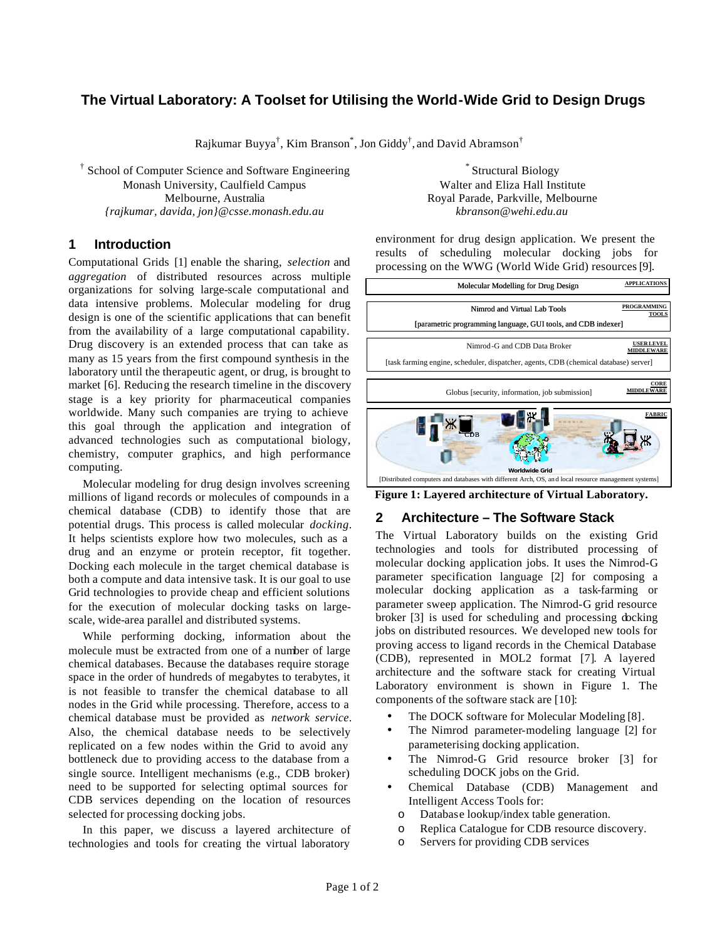# **The Virtual Laboratory: A Toolset for Utilising the World-Wide Grid to Design Drugs**

Rajkumar Buyya $^\dagger$ , Kim Branson $^*$ , Jon Giddy $^\dagger$ , and David Abramson $^\dagger$ 

† School of Computer Science and Software Engineering Monash University, Caulfield Campus Melbourne, Australia *{rajkumar, davida, jon}@csse.monash.edu.au*

### **1 Introduction**

Computational Grids [1] enable the sharing, *selection* and *aggregation* of distributed resources across multiple organizations for solving large-scale computational and data intensive problems. Molecular modeling for drug design is one of the scientific applications that can benefit from the availability of a large computational capability. Drug discovery is an extended process that can take as many as 15 years from the first compound synthesis in the laboratory until the therapeutic agent, or drug, is brought to market [6]. Reducing the research timeline in the discovery stage is a key priority for pharmaceutical companies worldwide. Many such companies are trying to achieve this goal through the application and integration of advanced technologies such as computational biology, chemistry, computer graphics, and high performance computing.

Molecular modeling for drug design involves screening millions of ligand records or molecules of compounds in a chemical database (CDB) to identify those that are potential drugs. This process is called molecular *docking*. It helps scientists explore how two molecules, such as a drug and an enzyme or protein receptor, fit together. Docking each molecule in the target chemical database is both a compute and data intensive task. It is our goal to use Grid technologies to provide cheap and efficient solutions for the execution of molecular docking tasks on largescale, wide-area parallel and distributed systems.

While performing docking, information about the molecule must be extracted from one of a number of large chemical databases. Because the databases require storage space in the order of hundreds of megabytes to terabytes, it is not feasible to transfer the chemical database to all nodes in the Grid while processing. Therefore, access to a chemical database must be provided as *network service*. Also, the chemical database needs to be selectively replicated on a few nodes within the Grid to avoid any bottleneck due to providing access to the database from a single source. Intelligent mechanisms (e.g., CDB broker) need to be supported for selecting optimal sources for CDB services depending on the location of resources selected for processing docking jobs.

In this paper, we discuss a layered architecture of technologies and tools for creating the virtual laboratory

\* Structural Biology Walter and Eliza Hall Institute Royal Parade, Parkville, Melbourne *kbranson@wehi.edu.au*

environment for drug design application. We present the results of scheduling molecular docking jobs for processing on the WWG (World Wide Grid) resources [9].



**Figure 1: Layered architecture of Virtual Laboratory.**

## **2 Architecture – The Software Stack**

The Virtual Laboratory builds on the existing Grid technologies and tools for distributed processing of molecular docking application jobs. It uses the Nimrod-G parameter specification language [2] for composing a molecular docking application as a task-farming or parameter sweep application. The Nimrod-G grid resource broker [3] is used for scheduling and processing docking jobs on distributed resources. We developed new tools for proving access to ligand records in the Chemical Database (CDB), represented in MOL2 format [7]. A layered architecture and the software stack for creating Virtual Laboratory environment is shown in Figure 1. The components of the software stack are [10]:

- The DOCK software for Molecular Modeling [8].
- The Nimrod parameter-modeling language [2] for parameterising docking application.
- The Nimrod-G Grid resource broker [3] for scheduling DOCK jobs on the Grid.
- Chemical Database (CDB) Management and Intelligent Access Tools for:
	- o Database lookup/index table generation.
	- o Replica Catalogue for CDB resource discovery.
	- o Servers for providing CDB services